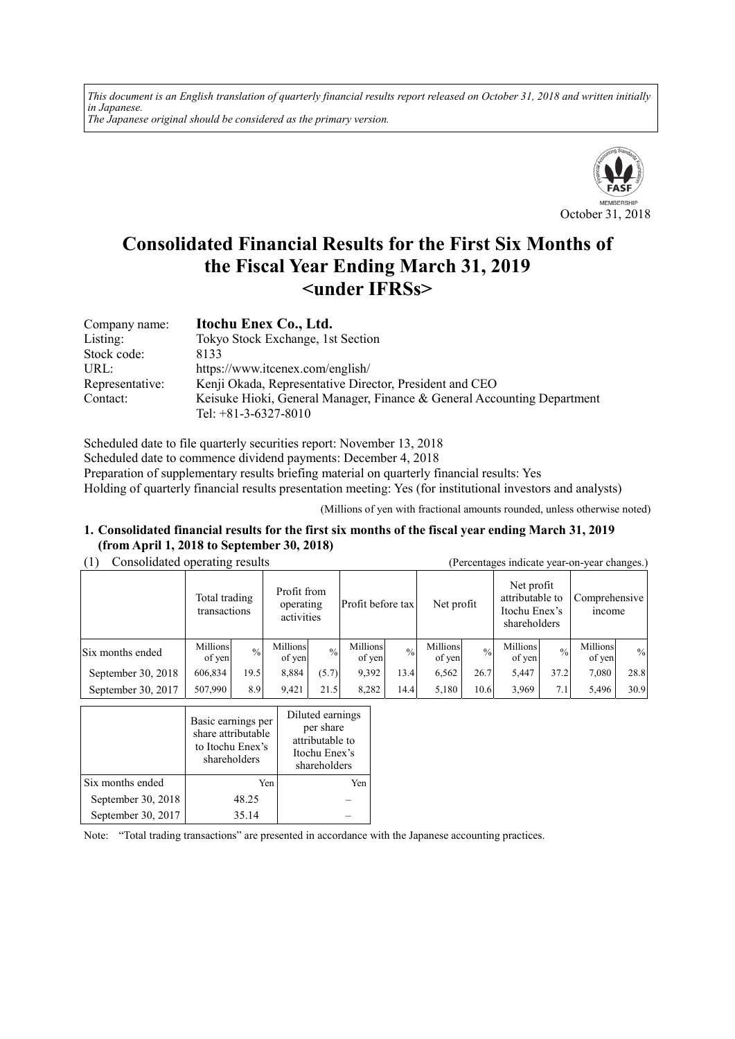*This document is an English translation of quarterly financial results report released on October 31, 2018 and written initially in Japanese. The Japanese original should be considered as the primary version.*



# **Consolidated Financial Results for the First Six Months of the Fiscal Year Ending March 31, 2019 <under IFRSs>**

| Company name:   | Itochu Enex Co., Ltd.                                                   |
|-----------------|-------------------------------------------------------------------------|
| Listing:        | Tokyo Stock Exchange, 1st Section                                       |
| Stock code:     | 8133                                                                    |
| URL:            | https://www.itcenex.com/english/                                        |
| Representative: | Kenji Okada, Representative Director, President and CEO                 |
| Contact:        | Keisuke Hioki, General Manager, Finance & General Accounting Department |
|                 | Tel: $+81-3-6327-8010$                                                  |

Scheduled date to file quarterly securities report: November 13, 2018 Scheduled date to commence dividend payments: December 4, 2018 Preparation of supplementary results briefing material on quarterly financial results: Yes Holding of quarterly financial results presentation meeting: Yes (for institutional investors and analysts)

(Millions of yen with fractional amounts rounded, unless otherwise noted)

#### **1. Consolidated financial results for the first six months of the fiscal year ending March 31, 2019 (from April 1, 2018 to September 30, 2018)**

| Consolidated operating results |                    |                                                                         |                    |                   |                    | (Percentages indicate year-on-year changes.) |                    |                                                                |                    |                                |                    |               |
|--------------------------------|--------------------|-------------------------------------------------------------------------|--------------------|-------------------|--------------------|----------------------------------------------|--------------------|----------------------------------------------------------------|--------------------|--------------------------------|--------------------|---------------|
|                                |                    | Profit from<br>Total trading<br>operating<br>transactions<br>activities |                    | Profit before tax |                    | Net profit                                   |                    | Net profit<br>attributable to<br>Itochu Enex's<br>shareholders |                    | Comprehensive<br><i>n</i> come |                    |               |
| Six months ended               | Millions<br>of yen | $\frac{0}{0}$                                                           | Millions<br>of yen | $\frac{0}{0}$     | Millions<br>of yen | $\frac{0}{0}$                                | Millions<br>of yen | $^{0}/_{0}$                                                    | Millions<br>of yen | $^{0}/_{0}$                    | Millions<br>of yen | $\frac{0}{0}$ |
| September 30, 2018             | 606,834            | 19.5                                                                    | 8,884              | (5.7)             | 9,392              | 13.4                                         | 6,562              | 26.7                                                           | 5,447              | 37.2                           | 7,080              | 28.8          |
| September 30, 2017             | 507,990            | 8.9                                                                     | 9,421              | 21.5              | 8,282              | 14.4                                         | 5,180              | 10.6                                                           | 3,969              | 7.1                            | 5,496              | 30.9          |

|                    | Basic earnings per<br>share attributable<br>to Itochu Enex's<br>shareholders | Diluted earnings<br>per share<br>attributable to<br>Itochu Enex's<br>shareholders |
|--------------------|------------------------------------------------------------------------------|-----------------------------------------------------------------------------------|
| Six months ended   | Yen                                                                          | Yen                                                                               |
| September 30, 2018 | 48.25                                                                        |                                                                                   |
| September 30, 2017 | 35.14                                                                        |                                                                                   |

Note: "Total trading transactions" are presented in accordance with the Japanese accounting practices.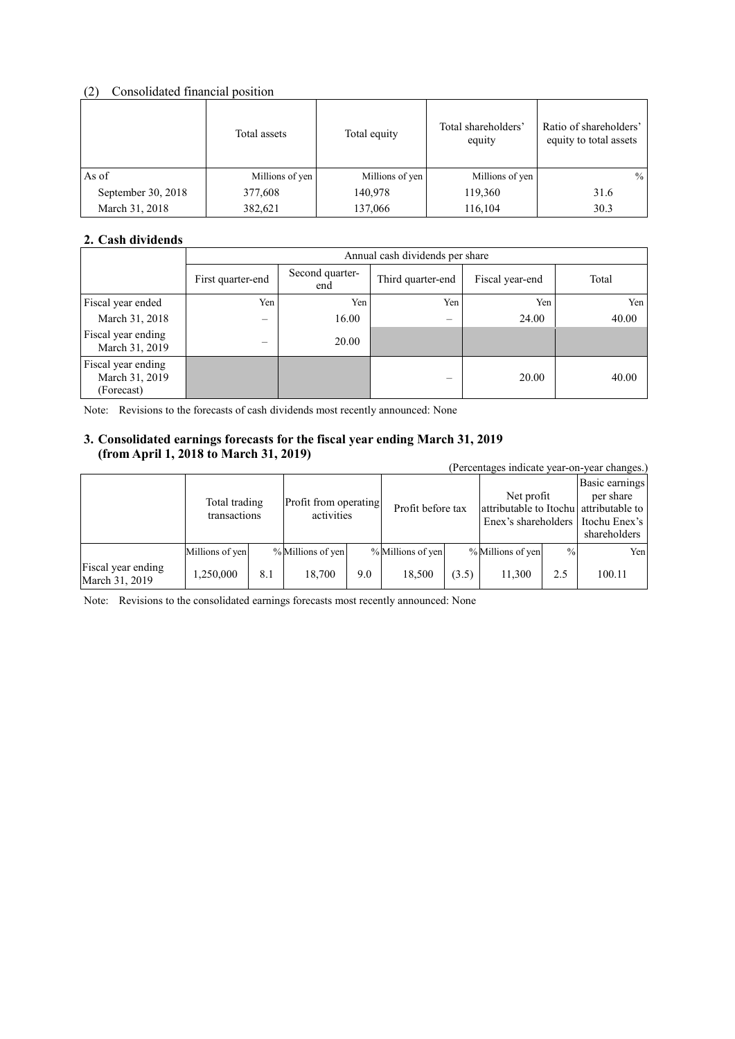### (2) Consolidated financial position

|                    | Total assets    | Total equity    | Total shareholders'<br>equity | Ratio of shareholders'<br>equity to total assets |
|--------------------|-----------------|-----------------|-------------------------------|--------------------------------------------------|
| As of              | Millions of yen | Millions of yen | Millions of yen               | $\frac{0}{0}$                                    |
| September 30, 2018 | 377,608         | 140,978         | 119,360                       | 31.6                                             |
| March 31, 2018     | 382,621         | 137,066         | 116,104                       | 30.3                                             |

### **2. Cash dividends**

|                                                    |                   | Annual cash dividends per share |                          |                 |       |  |  |  |
|----------------------------------------------------|-------------------|---------------------------------|--------------------------|-----------------|-------|--|--|--|
|                                                    | First quarter-end | Second quarter-<br>end          | Third quarter-end        | Fiscal year-end | Total |  |  |  |
| Fiscal year ended                                  | Yen               | Yen                             | Yen                      | Yen             | Yen   |  |  |  |
| March 31, 2018                                     | —                 | 16.00                           | $\overline{\phantom{m}}$ | 24.00           | 40.00 |  |  |  |
| Fiscal year ending<br>March 31, 2019               | $\equiv$          | 20.00                           |                          |                 |       |  |  |  |
| Fiscal year ending<br>March 31, 2019<br>(Forecast) |                   |                                 | –                        | 20.00           | 40.00 |  |  |  |

Note: Revisions to the forecasts of cash dividends most recently announced: None

### **3. Consolidated earnings forecasts for the fiscal year ending March 31, 2019 (from April 1, 2018 to March 31, 2019)**

| $\mu$ on $\mu$ is the $\mu$ and $\mu$ is the set of $\mu$<br>(Percentages indicate year-on-year changes.) |                               |     |                   |                                     |                   |                   |                   |                                                                             |        |
|-----------------------------------------------------------------------------------------------------------|-------------------------------|-----|-------------------|-------------------------------------|-------------------|-------------------|-------------------|-----------------------------------------------------------------------------|--------|
|                                                                                                           | Total trading<br>transactions |     |                   | Profit from operating<br>activities |                   | Profit before tax |                   | Net profit<br>attributable to Itochu attributable to<br>Enex's shareholders |        |
|                                                                                                           | Millions of yen               |     | % Millions of yen |                                     | % Millions of yen |                   | % Millions of yen | $\frac{0}{0}$                                                               | Yen    |
| Fiscal year ending<br>March 31, 2019                                                                      | 1,250,000                     | 8.1 | 18,700            | 9.0                                 | 18.500            | (3.5)             | 11,300            | 2.5                                                                         | 100.11 |

Note: Revisions to the consolidated earnings forecasts most recently announced: None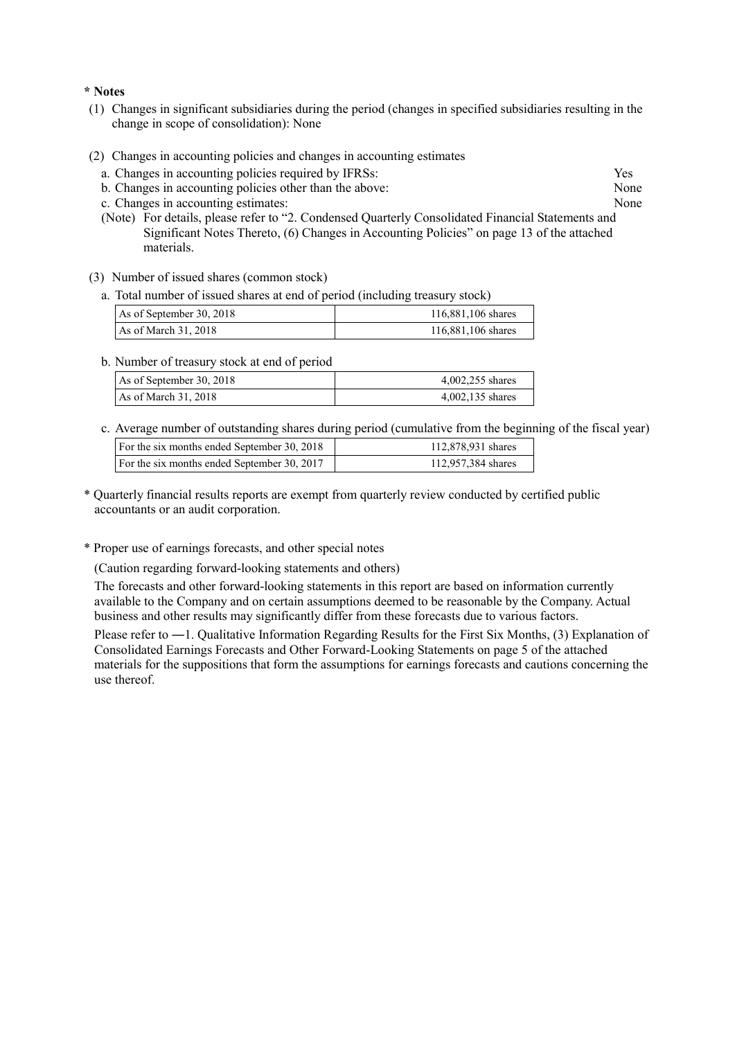#### **\* Notes**

- (1) Changes in significant subsidiaries during the period (changes in specified subsidiaries resulting in the change in scope of consolidation): None
- (2) Changes in accounting policies and changes in accounting estimates
	- a. Changes in accounting policies required by IFRSs: Yes
	- b. Changes in accounting policies other than the above: None
	- c. Changes in accounting estimates: None
	- (Note) For details, please refer to "2. Condensed Quarterly Consolidated Financial Statements and Significant Notes Thereto, (6) Changes in Accounting Policies" on page 13 of the attached materials.
- (3) Number of issued shares (common stock)
	- a. Total number of issued shares at end of period (including treasury stock)

| As of September 30, 2018 | 116,881,106 shares |  |  |
|--------------------------|--------------------|--|--|
| As of March 31, 2018     | 116,881,106 shares |  |  |

b. Number of treasury stock at end of period

| As of September 30, 2018 | 4,002,255 shares |  |  |  |
|--------------------------|------------------|--|--|--|
| As of March $31, 2018$   | 4,002,135 shares |  |  |  |

c. Average number of outstanding shares during period (cumulative from the beginning of the fiscal year)

| For the six months ended September 30, 2018 | 112,878,931 shares |
|---------------------------------------------|--------------------|
| For the six months ended September 30, 2017 | 112,957,384 shares |
|                                             |                    |

- \* Quarterly financial results reports are exempt from quarterly review conducted by certified public accountants or an audit corporation.
- \* Proper use of earnings forecasts, and other special notes

(Caution regarding forward-looking statements and others)

The forecasts and other forward-looking statements in this report are based on information currently available to the Company and on certain assumptions deemed to be reasonable by the Company. Actual business and other results may significantly differ from these forecasts due to various factors.

Please refer to ―1. Qualitative Information Regarding Results for the First Six Months, (3) Explanation of Consolidated Earnings Forecasts and Other Forward-Looking Statements on page 5 of the attached materials for the suppositions that form the assumptions for earnings forecasts and cautions concerning the use thereof.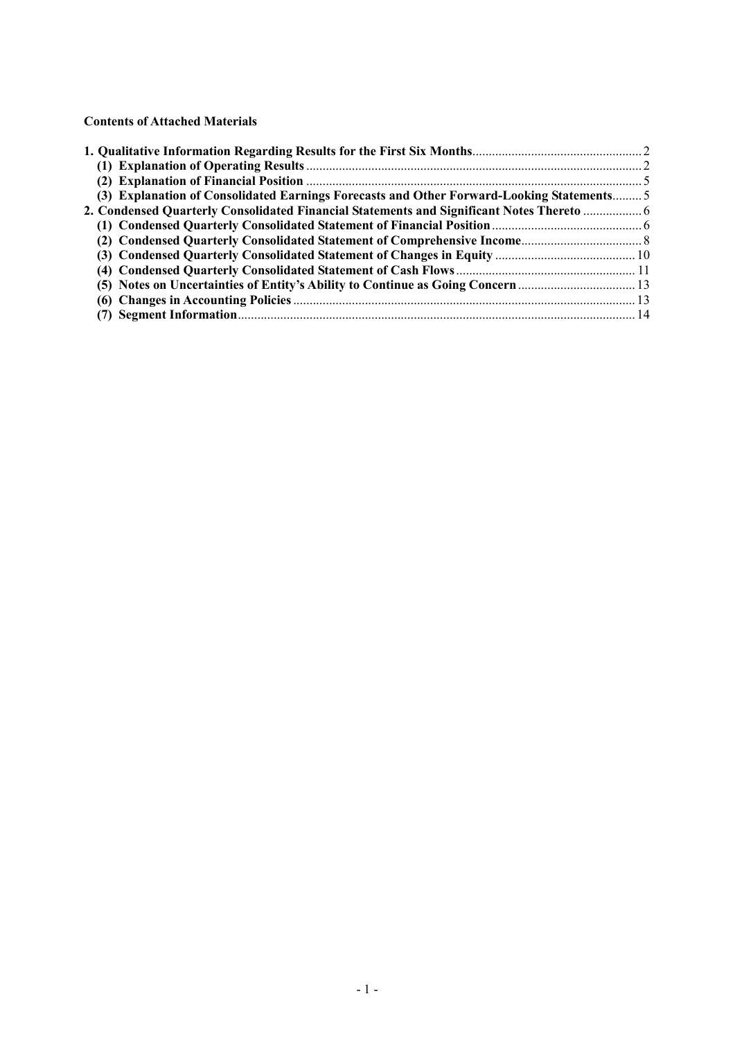**Contents of Attached Materials** 

| (3) Explanation of Consolidated Earnings Forecasts and Other Forward-Looking Statements 5 |  |
|-------------------------------------------------------------------------------------------|--|
| 2. Condensed Quarterly Consolidated Financial Statements and Significant Notes Thereto  6 |  |
|                                                                                           |  |
|                                                                                           |  |
|                                                                                           |  |
|                                                                                           |  |
| (5) Notes on Uncertainties of Entity's Ability to Continue as Going Concern               |  |
|                                                                                           |  |
|                                                                                           |  |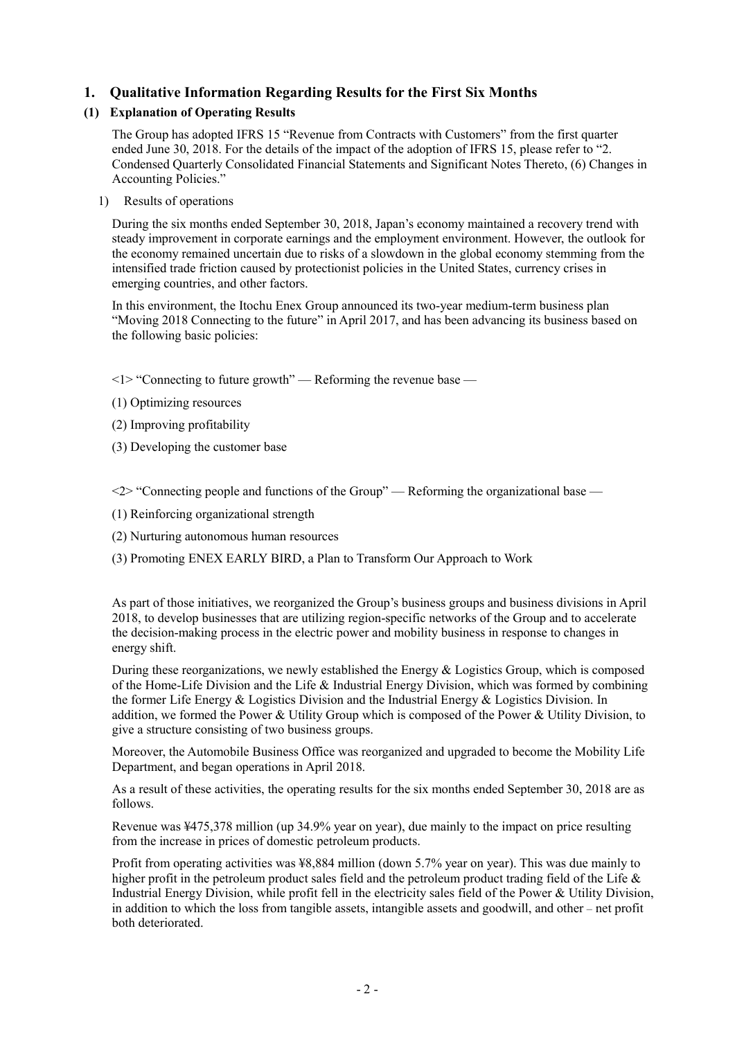### **1. Qualitative Information Regarding Results for the First Six Months**

### **(1) Explanation of Operating Results**

The Group has adopted IFRS 15 "Revenue from Contracts with Customers" from the first quarter ended June 30, 2018. For the details of the impact of the adoption of IFRS 15, please refer to "2. Condensed Quarterly Consolidated Financial Statements and Significant Notes Thereto, (6) Changes in Accounting Policies."

1) Results of operations

During the six months ended September 30, 2018, Japan's economy maintained a recovery trend with steady improvement in corporate earnings and the employment environment. However, the outlook for the economy remained uncertain due to risks of a slowdown in the global economy stemming from the intensified trade friction caused by protectionist policies in the United States, currency crises in emerging countries, and other factors.

In this environment, the Itochu Enex Group announced its two-year medium-term business plan "Moving 2018 Connecting to the future" in April 2017, and has been advancing its business based on the following basic policies:

 $\leq$  1> "Connecting to future growth" — Reforming the revenue base —

- (1) Optimizing resources
- (2) Improving profitability
- (3) Developing the customer base

<2> "Connecting people and functions of the Group" — Reforming the organizational base —

- (1) Reinforcing organizational strength
- (2) Nurturing autonomous human resources
- (3) Promoting ENEX EARLY BIRD, a Plan to Transform Our Approach to Work

As part of those initiatives, we reorganized the Group's business groups and business divisions in April 2018, to develop businesses that are utilizing region-specific networks of the Group and to accelerate the decision-making process in the electric power and mobility business in response to changes in energy shift.

During these reorganizations, we newly established the Energy & Logistics Group, which is composed of the Home-Life Division and the Life & Industrial Energy Division, which was formed by combining the former Life Energy & Logistics Division and the Industrial Energy & Logistics Division. In addition, we formed the Power & Utility Group which is composed of the Power & Utility Division, to give a structure consisting of two business groups.

Moreover, the Automobile Business Office was reorganized and upgraded to become the Mobility Life Department, and began operations in April 2018.

As a result of these activities, the operating results for the six months ended September 30, 2018 are as follows.

Revenue was ¥475,378 million (up 34.9% year on year), due mainly to the impact on price resulting from the increase in prices of domestic petroleum products.

Profit from operating activities was ¥8,884 million (down 5.7% year on year). This was due mainly to higher profit in the petroleum product sales field and the petroleum product trading field of the Life & Industrial Energy Division, while profit fell in the electricity sales field of the Power & Utility Division, in addition to which the loss from tangible assets, intangible assets and goodwill, and other – net profit both deteriorated.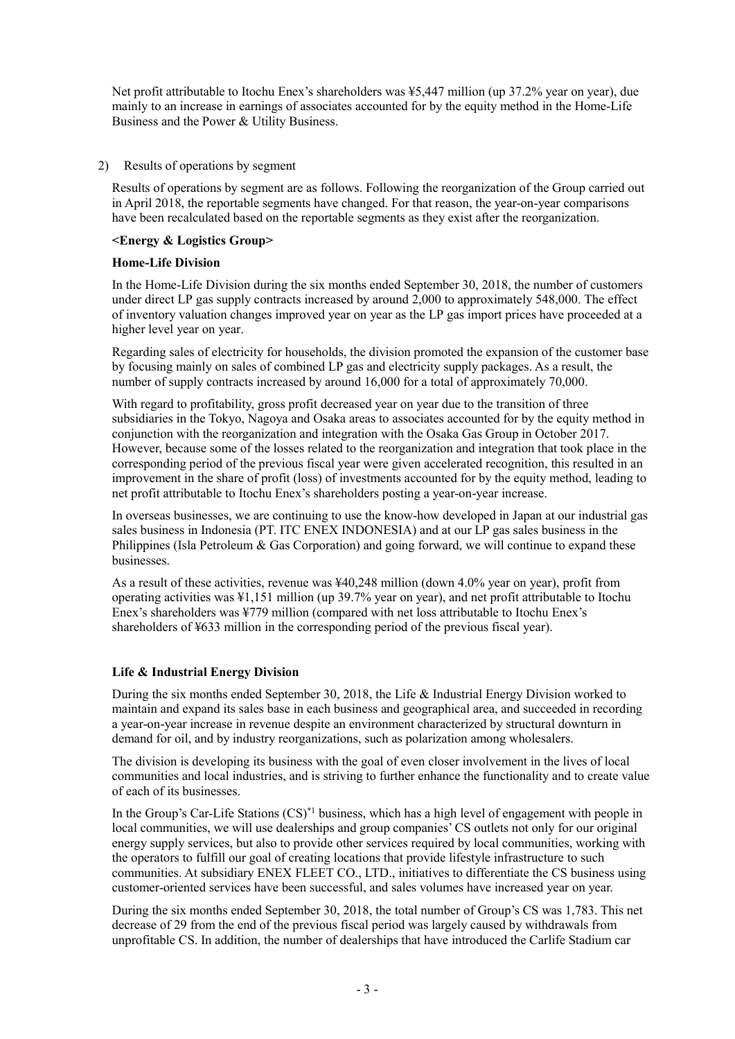Net profit attributable to Itochu Enex's shareholders was ¥5,447 million (up 37.2% year on year), due mainly to an increase in earnings of associates accounted for by the equity method in the Home-Life Business and the Power & Utility Business.

#### 2) Results of operations by segment

Results of operations by segment are as follows. Following the reorganization of the Group carried out in April 2018, the reportable segments have changed. For that reason, the year-on-year comparisons have been recalculated based on the reportable segments as they exist after the reorganization.

#### **<Energy & Logistics Group>**

#### **Home-Life Division**

In the Home-Life Division during the six months ended September 30, 2018, the number of customers under direct LP gas supply contracts increased by around 2,000 to approximately 548,000. The effect of inventory valuation changes improved year on year as the LP gas import prices have proceeded at a higher level year on year.

Regarding sales of electricity for households, the division promoted the expansion of the customer base by focusing mainly on sales of combined LP gas and electricity supply packages. As a result, the number of supply contracts increased by around 16,000 for a total of approximately 70,000.

With regard to profitability, gross profit decreased year on year due to the transition of three subsidiaries in the Tokyo, Nagoya and Osaka areas to associates accounted for by the equity method in conjunction with the reorganization and integration with the Osaka Gas Group in October 2017. However, because some of the losses related to the reorganization and integration that took place in the corresponding period of the previous fiscal year were given accelerated recognition, this resulted in an improvement in the share of profit (loss) of investments accounted for by the equity method, leading to net profit attributable to Itochu Enex's shareholders posting a year-on-year increase.

In overseas businesses, we are continuing to use the know-how developed in Japan at our industrial gas sales business in Indonesia (PT. ITC ENEX INDONESIA) and at our LP gas sales business in the Philippines (Isla Petroleum  $\&$  Gas Corporation) and going forward, we will continue to expand these businesses.

As a result of these activities, revenue was ¥40,248 million (down 4.0% year on year), profit from operating activities was ¥1,151 million (up 39.7% year on year), and net profit attributable to Itochu Enex's shareholders was ¥779 million (compared with net loss attributable to Itochu Enex's shareholders of ¥633 million in the corresponding period of the previous fiscal year).

#### **Life & Industrial Energy Division**

During the six months ended September 30, 2018, the Life & Industrial Energy Division worked to maintain and expand its sales base in each business and geographical area, and succeeded in recording a year-on-year increase in revenue despite an environment characterized by structural downturn in demand for oil, and by industry reorganizations, such as polarization among wholesalers.

The division is developing its business with the goal of even closer involvement in the lives of local communities and local industries, and is striving to further enhance the functionality and to create value of each of its businesses.

In the Group's Car-Life Stations  $(CS)^*$ <sup>1</sup> business, which has a high level of engagement with people in local communities, we will use dealerships and group companies' CS outlets not only for our original energy supply services, but also to provide other services required by local communities, working with the operators to fulfill our goal of creating locations that provide lifestyle infrastructure to such communities. At subsidiary ENEX FLEET CO., LTD., initiatives to differentiate the CS business using customer-oriented services have been successful, and sales volumes have increased year on year.

During the six months ended September 30, 2018, the total number of Group's CS was 1,783. This net decrease of 29 from the end of the previous fiscal period was largely caused by withdrawals from unprofitable CS. In addition, the number of dealerships that have introduced the Carlife Stadium car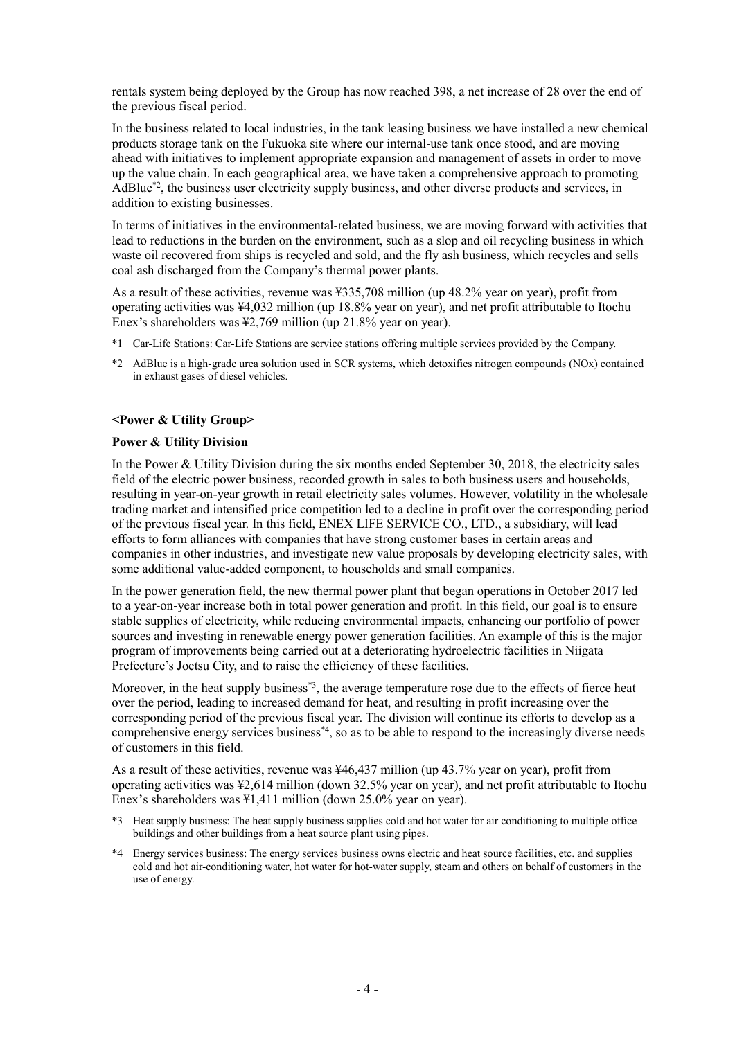rentals system being deployed by the Group has now reached 398, a net increase of 28 over the end of the previous fiscal period.

In the business related to local industries, in the tank leasing business we have installed a new chemical products storage tank on the Fukuoka site where our internal-use tank once stood, and are moving ahead with initiatives to implement appropriate expansion and management of assets in order to move up the value chain. In each geographical area, we have taken a comprehensive approach to promoting AdBlue\*2, the business user electricity supply business, and other diverse products and services, in addition to existing businesses.

In terms of initiatives in the environmental-related business, we are moving forward with activities that lead to reductions in the burden on the environment, such as a slop and oil recycling business in which waste oil recovered from ships is recycled and sold, and the fly ash business, which recycles and sells coal ash discharged from the Company's thermal power plants.

As a result of these activities, revenue was ¥335,708 million (up 48.2% year on year), profit from operating activities was ¥4,032 million (up 18.8% year on year), and net profit attributable to Itochu Enex's shareholders was ¥2,769 million (up 21.8% year on year).

- \*1 Car-Life Stations: Car-Life Stations are service stations offering multiple services provided by the Company.
- \*2 AdBlue is a high-grade urea solution used in SCR systems, which detoxifies nitrogen compounds (NOx) contained in exhaust gases of diesel vehicles.

#### **<Power & Utility Group>**

#### **Power & Utility Division**

In the Power & Utility Division during the six months ended September 30, 2018, the electricity sales field of the electric power business, recorded growth in sales to both business users and households, resulting in year-on-year growth in retail electricity sales volumes. However, volatility in the wholesale trading market and intensified price competition led to a decline in profit over the corresponding period of the previous fiscal year. In this field, ENEX LIFE SERVICE CO., LTD., a subsidiary, will lead efforts to form alliances with companies that have strong customer bases in certain areas and companies in other industries, and investigate new value proposals by developing electricity sales, with some additional value-added component, to households and small companies.

In the power generation field, the new thermal power plant that began operations in October 2017 led to a year-on-year increase both in total power generation and profit. In this field, our goal is to ensure stable supplies of electricity, while reducing environmental impacts, enhancing our portfolio of power sources and investing in renewable energy power generation facilities. An example of this is the major program of improvements being carried out at a deteriorating hydroelectric facilities in Niigata Prefecture's Joetsu City, and to raise the efficiency of these facilities.

Moreover, in the heat supply business<sup>\*3</sup>, the average temperature rose due to the effects of fierce heat over the period, leading to increased demand for heat, and resulting in profit increasing over the corresponding period of the previous fiscal year. The division will continue its efforts to develop as a comprehensive energy services business\*4, so as to be able to respond to the increasingly diverse needs of customers in this field.

As a result of these activities, revenue was ¥46,437 million (up 43.7% year on year), profit from operating activities was ¥2,614 million (down 32.5% year on year), and net profit attributable to Itochu Enex's shareholders was ¥1,411 million (down 25.0% year on year).

- \*3 Heat supply business: The heat supply business supplies cold and hot water for air conditioning to multiple office buildings and other buildings from a heat source plant using pipes.
- \*4 Energy services business: The energy services business owns electric and heat source facilities, etc. and supplies cold and hot air-conditioning water, hot water for hot-water supply, steam and others on behalf of customers in the use of energy.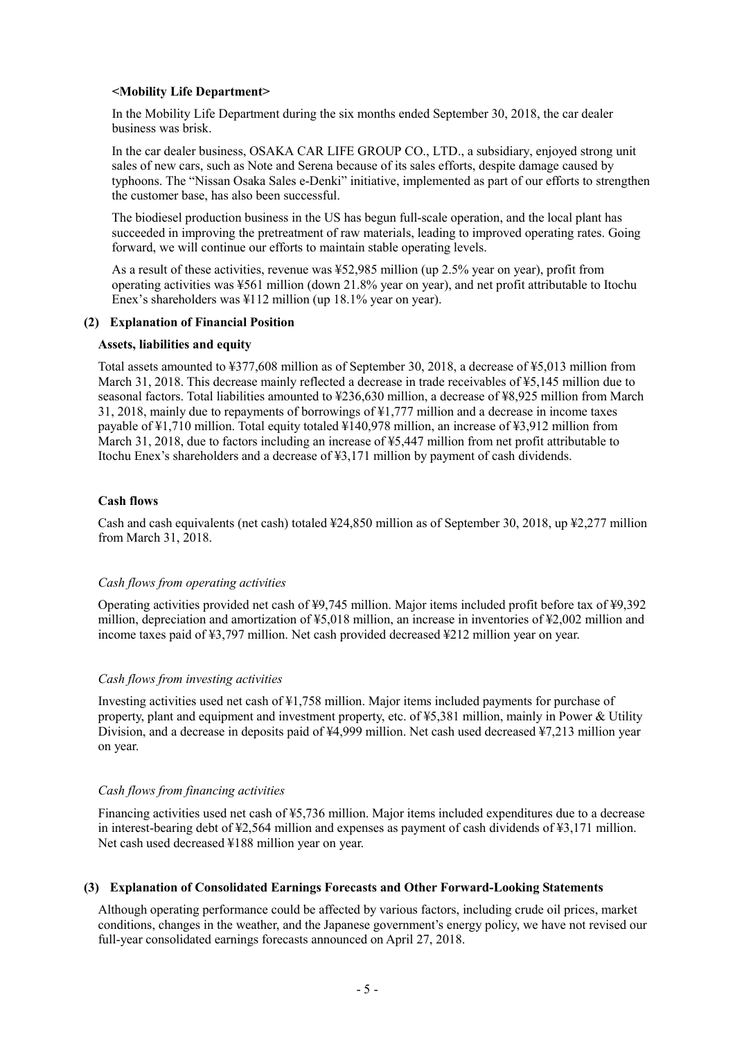#### **<Mobility Life Department>**

In the Mobility Life Department during the six months ended September 30, 2018, the car dealer business was brisk.

In the car dealer business, OSAKA CAR LIFE GROUP CO., LTD., a subsidiary, enjoyed strong unit sales of new cars, such as Note and Serena because of its sales efforts, despite damage caused by typhoons. The "Nissan Osaka Sales e-Denki" initiative, implemented as part of our efforts to strengthen the customer base, has also been successful.

The biodiesel production business in the US has begun full-scale operation, and the local plant has succeeded in improving the pretreatment of raw materials, leading to improved operating rates. Going forward, we will continue our efforts to maintain stable operating levels.

As a result of these activities, revenue was ¥52,985 million (up 2.5% year on year), profit from operating activities was ¥561 million (down 21.8% year on year), and net profit attributable to Itochu Enex's shareholders was ¥112 million (up 18.1% year on year).

#### **(2) Explanation of Financial Position**

#### **Assets, liabilities and equity**

Total assets amounted to ¥377,608 million as of September 30, 2018, a decrease of ¥5,013 million from March 31, 2018. This decrease mainly reflected a decrease in trade receivables of ¥5,145 million due to seasonal factors. Total liabilities amounted to ¥236,630 million, a decrease of ¥8,925 million from March 31, 2018, mainly due to repayments of borrowings of ¥1,777 million and a decrease in income taxes payable of  $\frac{1}{2}1,710$  million. Total equity totaled  $\frac{1}{2}140.978$  million, an increase of  $\frac{1}{2}3.912$  million from March 31, 2018, due to factors including an increase of ¥5,447 million from net profit attributable to Itochu Enex's shareholders and a decrease of ¥3,171 million by payment of cash dividends.

#### **Cash flows**

Cash and cash equivalents (net cash) totaled ¥24,850 million as of September 30, 2018, up ¥2,277 million from March 31, 2018.

#### *Cash flows from operating activities*

Operating activities provided net cash of ¥9,745 million. Major items included profit before tax of ¥9,392 million, depreciation and amortization of ¥5,018 million, an increase in inventories of ¥2,002 million and income taxes paid of  $\frac{43,797}{2}$  million. Net cash provided decreased  $\frac{4212}{2}$  million year on year.

#### *Cash flows from investing activities*

Investing activities used net cash of ¥1,758 million. Major items included payments for purchase of property, plant and equipment and investment property, etc. of ¥5,381 million, mainly in Power & Utility Division, and a decrease in deposits paid of ¥4,999 million. Net cash used decreased ¥7,213 million year on year.

#### *Cash flows from financing activities*

Financing activities used net cash of ¥5,736 million. Major items included expenditures due to a decrease in interest-bearing debt of ¥2,564 million and expenses as payment of cash dividends of ¥3,171 million. Net cash used decreased ¥188 million year on year.

#### **(3) Explanation of Consolidated Earnings Forecasts and Other Forward-Looking Statements**

Although operating performance could be affected by various factors, including crude oil prices, market conditions, changes in the weather, and the Japanese government's energy policy, we have not revised our full-year consolidated earnings forecasts announced on April 27, 2018.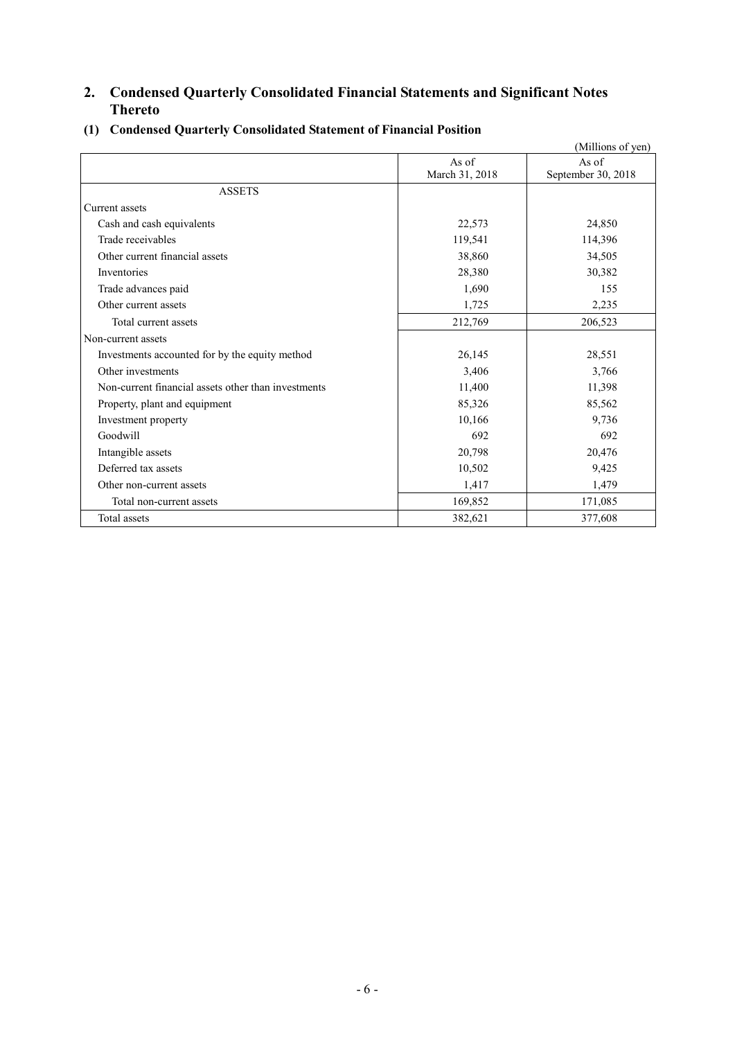# **2. Condensed Quarterly Consolidated Financial Statements and Significant Notes Thereto**

|                                                     |                | (Millions of yen)  |
|-----------------------------------------------------|----------------|--------------------|
|                                                     | As of          | As of              |
|                                                     | March 31, 2018 | September 30, 2018 |
| <b>ASSETS</b>                                       |                |                    |
| Current assets                                      |                |                    |
| Cash and cash equivalents                           | 22,573         | 24,850             |
| Trade receivables                                   | 119,541        | 114,396            |
| Other current financial assets                      | 38,860         | 34,505             |
| Inventories                                         | 28,380         | 30,382             |
| Trade advances paid                                 | 1,690          | 155                |
| Other current assets                                | 1,725          | 2,235              |
| Total current assets                                | 212,769        | 206,523            |
| Non-current assets                                  |                |                    |
| Investments accounted for by the equity method      | 26,145         | 28,551             |
| Other investments                                   | 3,406          | 3,766              |
| Non-current financial assets other than investments | 11,400         | 11,398             |
| Property, plant and equipment                       | 85,326         | 85,562             |
| Investment property                                 | 10,166         | 9,736              |
| Goodwill                                            | 692            | 692                |
| Intangible assets                                   | 20,798         | 20,476             |
| Deferred tax assets                                 | 10,502         | 9,425              |
| Other non-current assets                            | 1,417          | 1,479              |
| Total non-current assets                            | 169,852        | 171,085            |
| Total assets                                        | 382,621        | 377,608            |

### **(1) Condensed Quarterly Consolidated Statement of Financial Position**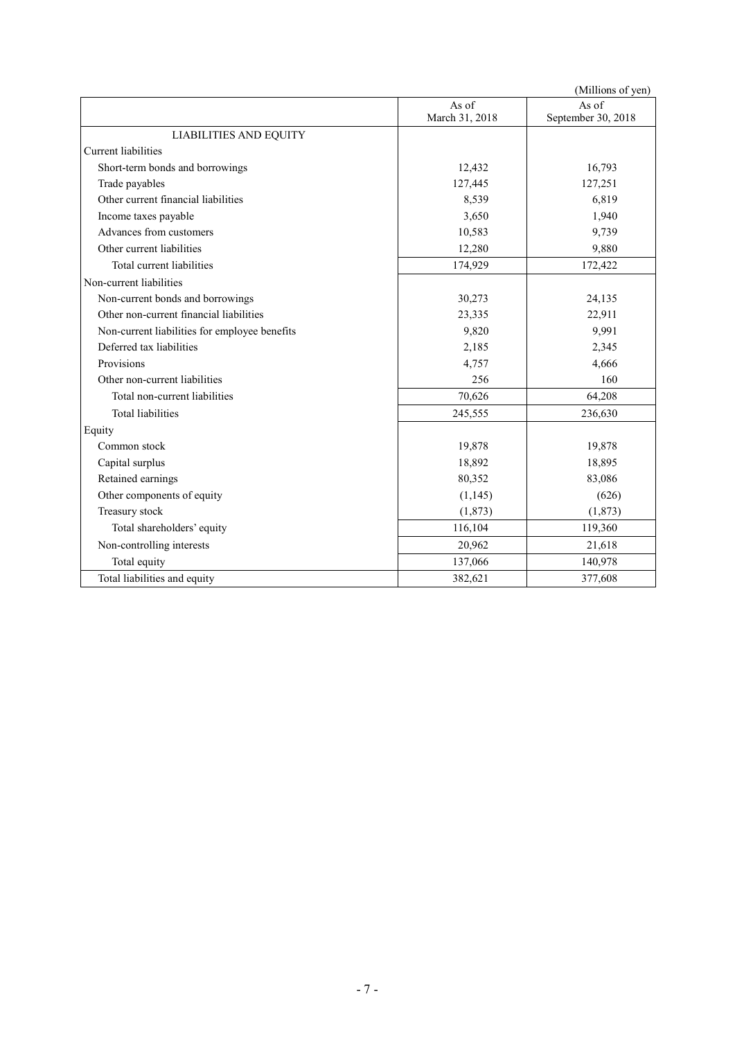|                                               |                         | (Millions of yen)           |
|-----------------------------------------------|-------------------------|-----------------------------|
|                                               | As of<br>March 31, 2018 | As of<br>September 30, 2018 |
| <b>LIABILITIES AND EQUITY</b>                 |                         |                             |
| Current liabilities                           |                         |                             |
| Short-term bonds and borrowings               | 12,432                  | 16,793                      |
| Trade payables                                | 127,445                 | 127,251                     |
| Other current financial liabilities           | 8,539                   | 6,819                       |
| Income taxes payable                          | 3,650                   | 1,940                       |
| Advances from customers                       | 10,583                  | 9,739                       |
| Other current liabilities                     | 12,280                  | 9,880                       |
| Total current liabilities                     | 174,929                 | 172,422                     |
| Non-current liabilities                       |                         |                             |
| Non-current bonds and borrowings              | 30,273                  | 24,135                      |
| Other non-current financial liabilities       | 23,335                  | 22,911                      |
| Non-current liabilities for employee benefits | 9,820                   | 9,991                       |
| Deferred tax liabilities                      | 2,185                   | 2,345                       |
| Provisions                                    | 4,757                   | 4,666                       |
| Other non-current liabilities                 | 256                     | 160                         |
| Total non-current liabilities                 | 70,626                  | 64,208                      |
| <b>Total liabilities</b>                      | 245,555                 | 236,630                     |
| Equity                                        |                         |                             |
| Common stock                                  | 19,878                  | 19,878                      |
| Capital surplus                               | 18,892                  | 18,895                      |
| Retained earnings                             | 80,352                  | 83,086                      |
| Other components of equity                    | (1, 145)                | (626)                       |
| Treasury stock                                | (1, 873)                | (1,873)                     |
| Total shareholders' equity                    | 116,104                 | 119,360                     |
| Non-controlling interests                     | 20,962                  | 21,618                      |
| Total equity                                  | 137,066                 | 140,978                     |
| Total liabilities and equity                  | 382,621                 | 377,608                     |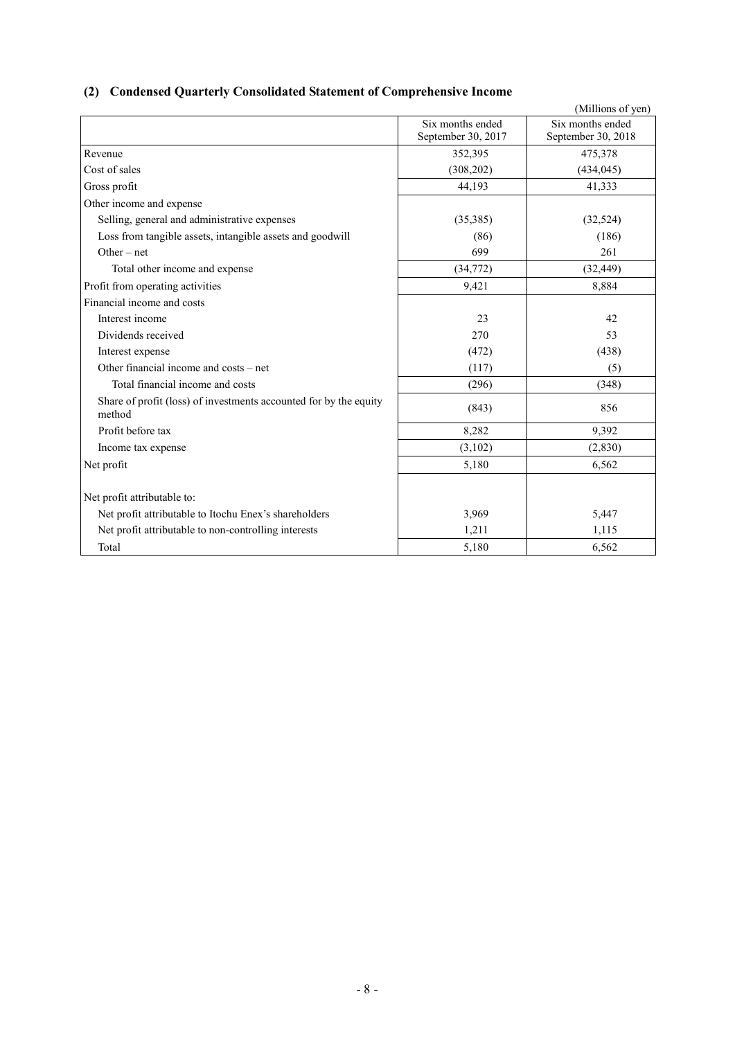# **(2) Condensed Quarterly Consolidated Statement of Comprehensive Income**

|                                                                             |                                        | (Millions of yen)                      |
|-----------------------------------------------------------------------------|----------------------------------------|----------------------------------------|
|                                                                             | Six months ended<br>September 30, 2017 | Six months ended<br>September 30, 2018 |
| Revenue                                                                     | 352,395                                | 475,378                                |
| Cost of sales                                                               | (308, 202)                             | (434, 045)                             |
| Gross profit                                                                | 44,193                                 | 41,333                                 |
| Other income and expense                                                    |                                        |                                        |
| Selling, general and administrative expenses                                | (35,385)                               | (32, 524)                              |
| Loss from tangible assets, intangible assets and goodwill                   | (86)                                   | (186)                                  |
| $Other-net$                                                                 | 699                                    | 261                                    |
| Total other income and expense                                              | (34,772)                               | (32, 449)                              |
| Profit from operating activities                                            | 9,421                                  | 8,884                                  |
| Financial income and costs                                                  |                                        |                                        |
| Interest income                                                             | 23                                     | 42                                     |
| Dividends received                                                          | 270                                    | 53                                     |
| Interest expense                                                            | (472)                                  | (438)                                  |
| Other financial income and costs – net                                      | (117)                                  | (5)                                    |
| Total financial income and costs                                            | (296)                                  | (348)                                  |
| Share of profit (loss) of investments accounted for by the equity<br>method | (843)                                  | 856                                    |
| Profit before tax                                                           | 8,282                                  | 9,392                                  |
| Income tax expense                                                          | (3,102)                                | (2, 830)                               |
| Net profit                                                                  | 5,180                                  | 6,562                                  |
| Net profit attributable to:                                                 |                                        |                                        |
| Net profit attributable to Itochu Enex's shareholders                       | 3,969                                  | 5,447                                  |
| Net profit attributable to non-controlling interests                        | 1,211                                  | 1,115                                  |
| Total                                                                       | 5,180                                  | 6,562                                  |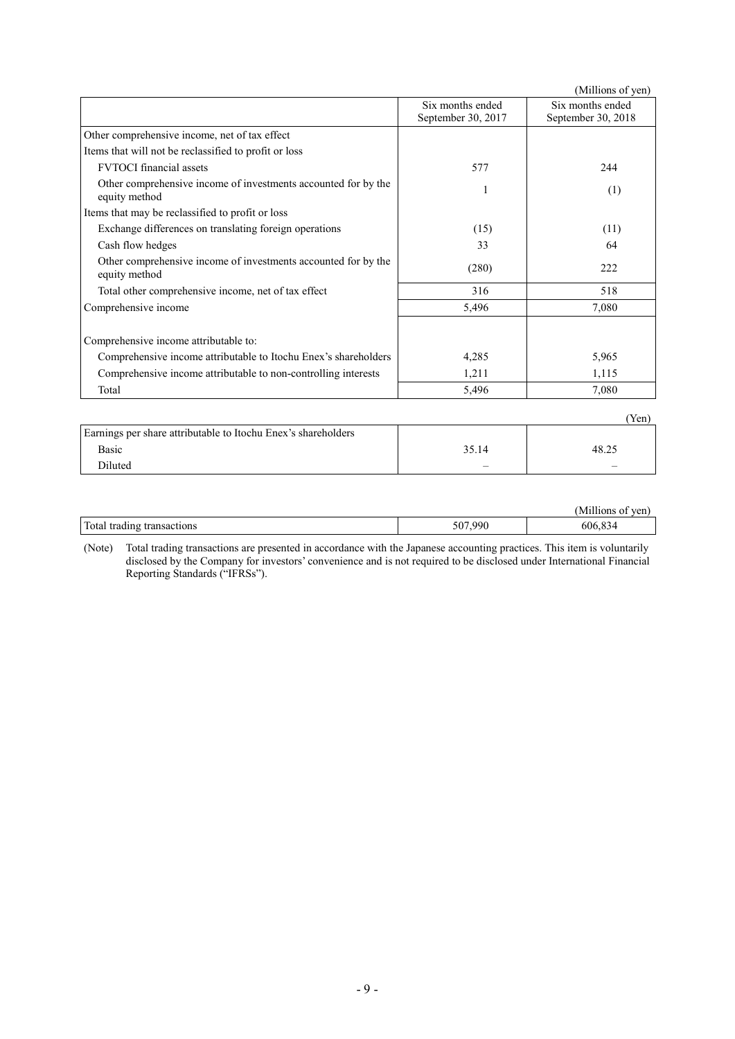|                                                                                 |                                        | (Millions of yen)                      |
|---------------------------------------------------------------------------------|----------------------------------------|----------------------------------------|
|                                                                                 | Six months ended<br>September 30, 2017 | Six months ended<br>September 30, 2018 |
| Other comprehensive income, net of tax effect                                   |                                        |                                        |
| Items that will not be reclassified to profit or loss                           |                                        |                                        |
| <b>FVTOCI</b> financial assets                                                  | 577                                    | 244                                    |
| Other comprehensive income of investments accounted for by the<br>equity method |                                        | (1)                                    |
| Items that may be reclassified to profit or loss                                |                                        |                                        |
| Exchange differences on translating foreign operations                          | (15)                                   | (11)                                   |
| Cash flow hedges                                                                | 33                                     | 64                                     |
| Other comprehensive income of investments accounted for by the<br>equity method | (280)                                  | 222                                    |
| Total other comprehensive income, net of tax effect                             | 316                                    | 518                                    |
| Comprehensive income                                                            | 5,496                                  | 7,080                                  |
| Comprehensive income attributable to:                                           |                                        |                                        |
| Comprehensive income attributable to Itochu Enex's shareholders                 | 4,285                                  | 5,965                                  |
| Comprehensive income attributable to non-controlling interests                  | 1,211                                  | 1,115                                  |
| Total                                                                           | 5,496                                  | 7,080                                  |
|                                                                                 |                                        | (Yen)                                  |
| Earnings per share attributable to Itochu Enex's shareholders                   |                                        |                                        |

| Earnings per share attributable to Itochu Enex's shareholders |       |      |
|---------------------------------------------------------------|-------|------|
| Basic                                                         | 35.14 | 48.2 |
| Diluted                                                       |       |      |
|                                                               |       |      |

|                                    |         | ven.               |
|------------------------------------|---------|--------------------|
| Total<br>tradıng<br>ctions<br>isac | 507.990 | n n<br>-606<br>-34 |

(Note) Total trading transactions are presented in accordance with the Japanese accounting practices. This item is voluntarily disclosed by the Company for investors' convenience and is not required to be disclosed under International Financial Reporting Standards ("IFRSs").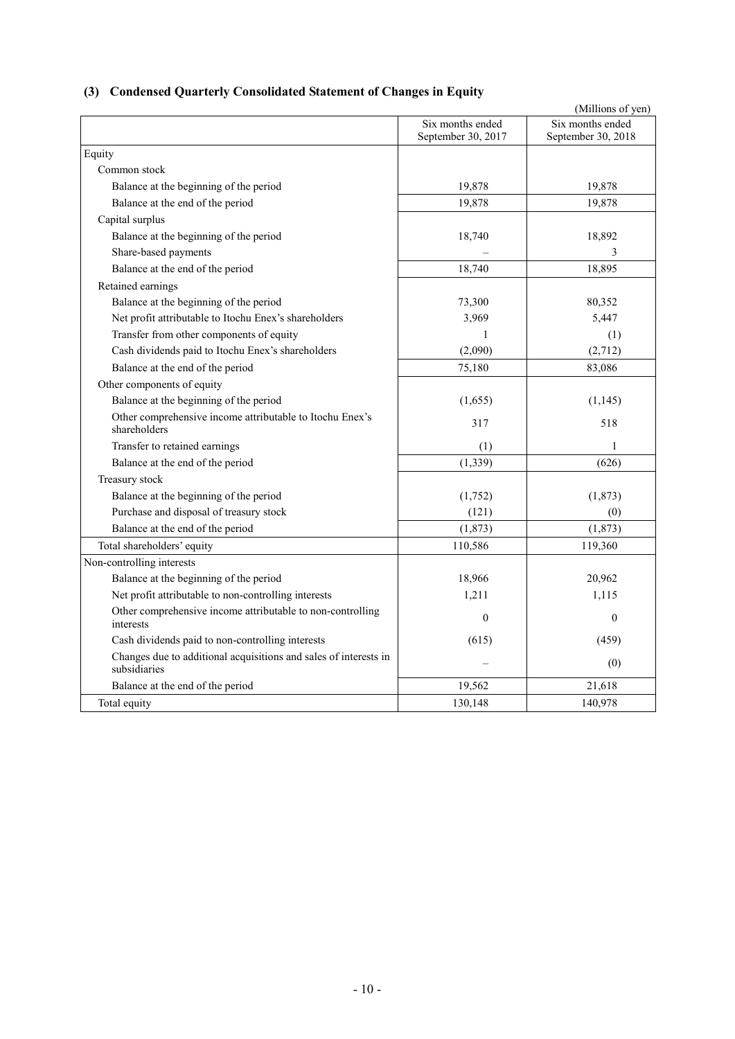## **(3) Condensed Quarterly Consolidated Statement of Changes in Equity**

|                                                                                  |                                        | (Millions of yen)                      |
|----------------------------------------------------------------------------------|----------------------------------------|----------------------------------------|
|                                                                                  | Six months ended<br>September 30, 2017 | Six months ended<br>September 30, 2018 |
| Equity                                                                           |                                        |                                        |
| Common stock                                                                     |                                        |                                        |
| Balance at the beginning of the period                                           | 19,878                                 | 19,878                                 |
| Balance at the end of the period                                                 | 19,878                                 | 19,878                                 |
| Capital surplus                                                                  |                                        |                                        |
| Balance at the beginning of the period                                           | 18,740                                 | 18,892                                 |
| Share-based payments                                                             |                                        | 3                                      |
| Balance at the end of the period                                                 | 18,740                                 | 18,895                                 |
| Retained earnings                                                                |                                        |                                        |
| Balance at the beginning of the period                                           | 73,300                                 | 80,352                                 |
| Net profit attributable to Itochu Enex's shareholders                            | 3,969                                  | 5,447                                  |
| Transfer from other components of equity                                         | 1                                      | (1)                                    |
| Cash dividends paid to Itochu Enex's shareholders                                | (2,090)                                | (2,712)                                |
| Balance at the end of the period                                                 | 75,180                                 | 83,086                                 |
| Other components of equity                                                       |                                        |                                        |
| Balance at the beginning of the period                                           | (1,655)                                | (1,145)                                |
| Other comprehensive income attributable to Itochu Enex's<br>shareholders         | 317                                    | 518                                    |
| Transfer to retained earnings                                                    | (1)                                    | $\mathbf{1}$                           |
| Balance at the end of the period                                                 | (1, 339)                               | (626)                                  |
| Treasury stock                                                                   |                                        |                                        |
| Balance at the beginning of the period                                           | (1,752)                                | (1,873)                                |
| Purchase and disposal of treasury stock                                          | (121)                                  | (0)                                    |
| Balance at the end of the period                                                 | (1, 873)                               | (1,873)                                |
| Total shareholders' equity                                                       | 110,586                                | 119,360                                |
| Non-controlling interests                                                        |                                        |                                        |
| Balance at the beginning of the period                                           | 18,966                                 | 20,962                                 |
| Net profit attributable to non-controlling interests                             | 1,211                                  | 1,115                                  |
| Other comprehensive income attributable to non-controlling<br>interests          | $\theta$                               | $\mathbf{0}$                           |
| Cash dividends paid to non-controlling interests                                 | (615)                                  | (459)                                  |
| Changes due to additional acquisitions and sales of interests in<br>subsidiaries |                                        | (0)                                    |
| Balance at the end of the period                                                 | 19,562                                 | 21,618                                 |
| Total equity                                                                     | 130,148                                | 140,978                                |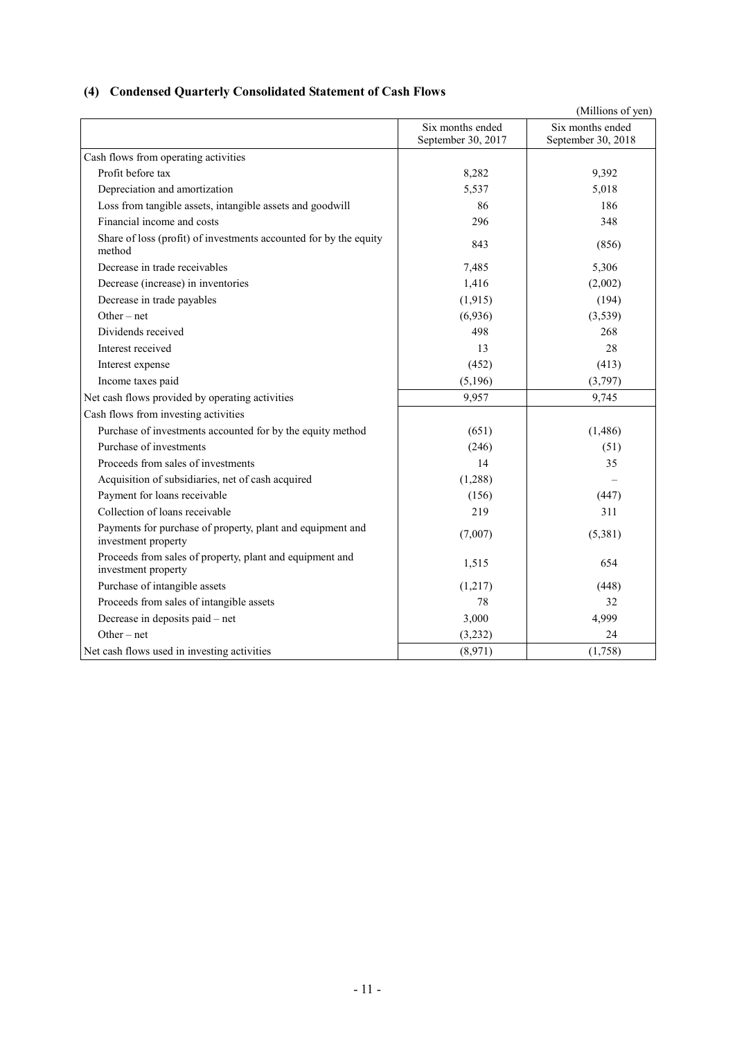# **(4) Condensed Quarterly Consolidated Statement of Cash Flows**

|                                                                                   |                                        | (Millions of yen)                      |
|-----------------------------------------------------------------------------------|----------------------------------------|----------------------------------------|
|                                                                                   | Six months ended<br>September 30, 2017 | Six months ended<br>September 30, 2018 |
| Cash flows from operating activities                                              |                                        |                                        |
| Profit before tax                                                                 | 8,282                                  | 9,392                                  |
| Depreciation and amortization                                                     | 5,537                                  | 5,018                                  |
| Loss from tangible assets, intangible assets and goodwill                         | 86                                     | 186                                    |
| Financial income and costs                                                        | 296                                    | 348                                    |
| Share of loss (profit) of investments accounted for by the equity<br>method       | 843                                    | (856)                                  |
| Decrease in trade receivables                                                     | 7,485                                  | 5,306                                  |
| Decrease (increase) in inventories                                                | 1,416                                  | (2,002)                                |
| Decrease in trade payables                                                        | (1, 915)                               | (194)                                  |
| Other $-$ net                                                                     | (6,936)                                | (3,539)                                |
| Dividends received                                                                | 498                                    | 268                                    |
| Interest received                                                                 | 13                                     | 28                                     |
| Interest expense                                                                  | (452)                                  | (413)                                  |
| Income taxes paid                                                                 | (5,196)                                | (3,797)                                |
| Net cash flows provided by operating activities                                   | 9,957                                  | 9,745                                  |
| Cash flows from investing activities                                              |                                        |                                        |
| Purchase of investments accounted for by the equity method                        | (651)                                  | (1,486)                                |
| Purchase of investments                                                           | (246)                                  | (51)                                   |
| Proceeds from sales of investments                                                | 14                                     | 35                                     |
| Acquisition of subsidiaries, net of cash acquired                                 | (1,288)                                |                                        |
| Payment for loans receivable                                                      | (156)                                  | (447)                                  |
| Collection of loans receivable                                                    | 219                                    | 311                                    |
| Payments for purchase of property, plant and equipment and<br>investment property | (7,007)                                | (5,381)                                |
| Proceeds from sales of property, plant and equipment and<br>investment property   | 1,515                                  | 654                                    |
| Purchase of intangible assets                                                     | (1,217)                                | (448)                                  |
| Proceeds from sales of intangible assets                                          | 78                                     | 32                                     |
| Decrease in deposits paid - net                                                   | 3,000                                  | 4,999                                  |
| Other $-$ net                                                                     | (3,232)                                | 24                                     |
| Net cash flows used in investing activities                                       | (8,971)                                | (1,758)                                |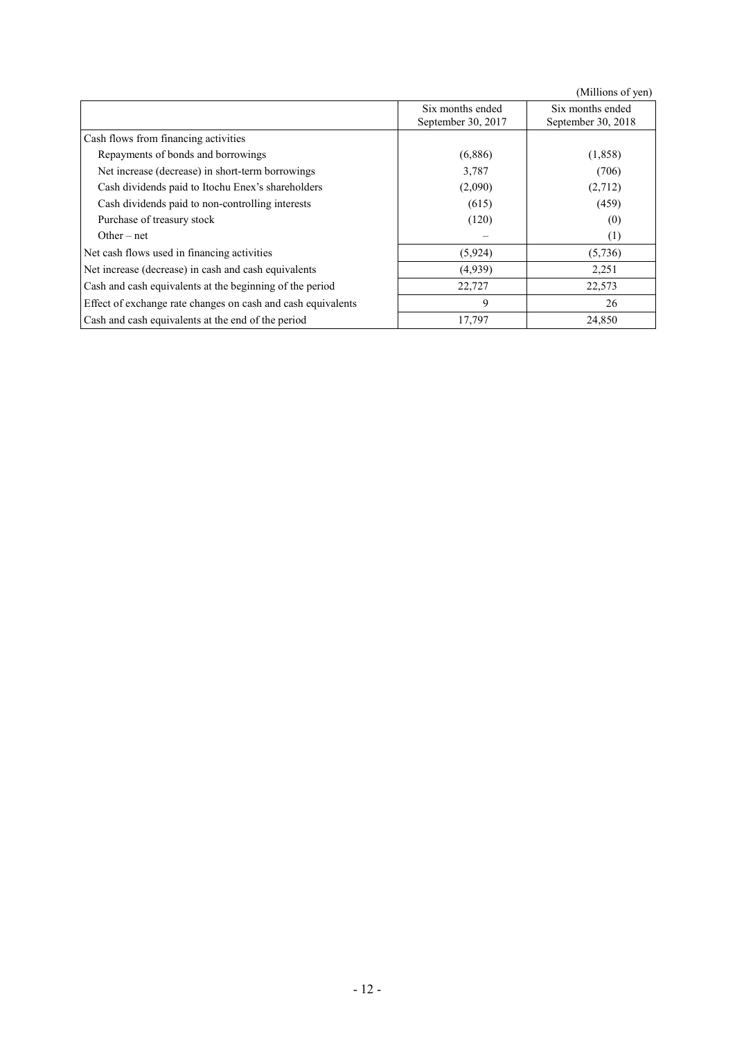(Millions of yen)

|                                                              | Six months ended<br>September 30, 2017 | Six months ended<br>September 30, 2018 |
|--------------------------------------------------------------|----------------------------------------|----------------------------------------|
| Cash flows from financing activities                         |                                        |                                        |
| Repayments of bonds and borrowings                           | (6,886)                                | (1,858)                                |
| Net increase (decrease) in short-term borrowings             | 3,787                                  | (706)                                  |
| Cash dividends paid to Itochu Enex's shareholders            | (2,090)                                | (2,712)                                |
| Cash dividends paid to non-controlling interests             | (615)                                  | (459)                                  |
| Purchase of treasury stock                                   | (120)                                  | (0)                                    |
| Other – net                                                  |                                        | (1)                                    |
| Net cash flows used in financing activities                  | (5,924)                                | (5,736)                                |
| Net increase (decrease) in cash and cash equivalents         | (4,939)                                | 2,251                                  |
| Cash and cash equivalents at the beginning of the period     | 22,727                                 | 22,573                                 |
| Effect of exchange rate changes on cash and cash equivalents | 9                                      | 26                                     |
| Cash and cash equivalents at the end of the period           | 17,797                                 | 24,850                                 |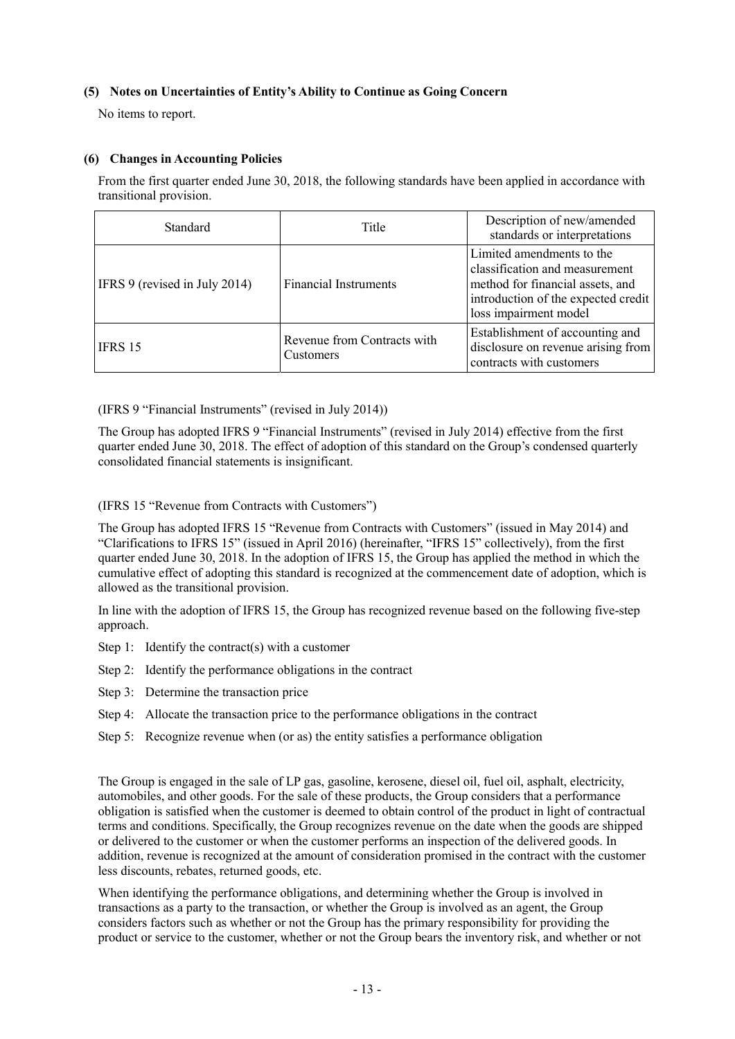### **(5) Notes on Uncertainties of Entity's Ability to Continue as Going Concern**

No items to report.

### **(6) Changes in Accounting Policies**

From the first quarter ended June 30, 2018, the following standards have been applied in accordance with transitional provision.

| Standard                      | Title                                    | Description of new/amended<br>standards or interpretations                                                                                                      |
|-------------------------------|------------------------------------------|-----------------------------------------------------------------------------------------------------------------------------------------------------------------|
| IFRS 9 (revised in July 2014) | <b>Financial Instruments</b>             | Limited amendments to the<br>classification and measurement<br>method for financial assets, and<br>introduction of the expected credit<br>loss impairment model |
| IFRS 15                       | Revenue from Contracts with<br>Customers | Establishment of accounting and<br>disclosure on revenue arising from<br>contracts with customers                                                               |

(IFRS 9 "Financial Instruments" (revised in July 2014))

The Group has adopted IFRS 9 "Financial Instruments" (revised in July 2014) effective from the first quarter ended June 30, 2018. The effect of adoption of this standard on the Group's condensed quarterly consolidated financial statements is insignificant.

(IFRS 15 "Revenue from Contracts with Customers")

The Group has adopted IFRS 15 "Revenue from Contracts with Customers" (issued in May 2014) and "Clarifications to IFRS 15" (issued in April 2016) (hereinafter, "IFRS 15" collectively), from the first quarter ended June 30, 2018. In the adoption of IFRS 15, the Group has applied the method in which the cumulative effect of adopting this standard is recognized at the commencement date of adoption, which is allowed as the transitional provision.

In line with the adoption of IFRS 15, the Group has recognized revenue based on the following five-step approach.

- Step 1: Identify the contract(s) with a customer
- Step 2: Identify the performance obligations in the contract
- Step 3: Determine the transaction price
- Step 4: Allocate the transaction price to the performance obligations in the contract
- Step 5: Recognize revenue when (or as) the entity satisfies a performance obligation

The Group is engaged in the sale of LP gas, gasoline, kerosene, diesel oil, fuel oil, asphalt, electricity, automobiles, and other goods. For the sale of these products, the Group considers that a performance obligation is satisfied when the customer is deemed to obtain control of the product in light of contractual terms and conditions. Specifically, the Group recognizes revenue on the date when the goods are shipped or delivered to the customer or when the customer performs an inspection of the delivered goods. In addition, revenue is recognized at the amount of consideration promised in the contract with the customer less discounts, rebates, returned goods, etc.

When identifying the performance obligations, and determining whether the Group is involved in transactions as a party to the transaction, or whether the Group is involved as an agent, the Group considers factors such as whether or not the Group has the primary responsibility for providing the product or service to the customer, whether or not the Group bears the inventory risk, and whether or not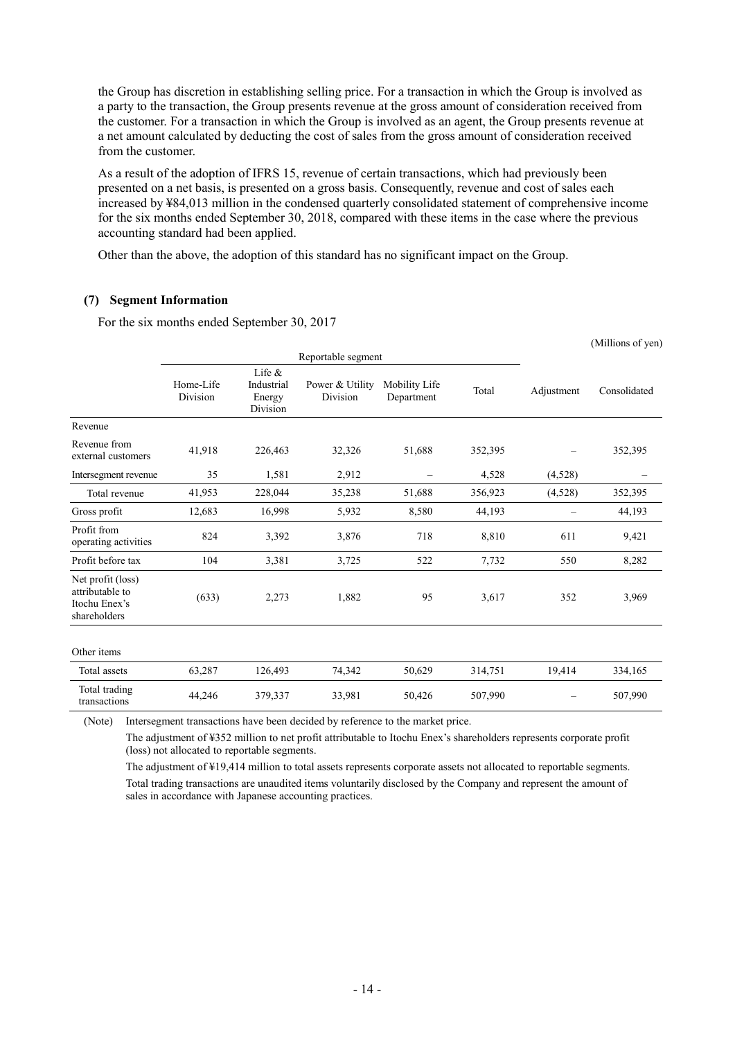the Group has discretion in establishing selling price. For a transaction in which the Group is involved as a party to the transaction, the Group presents revenue at the gross amount of consideration received from the customer. For a transaction in which the Group is involved as an agent, the Group presents revenue at a net amount calculated by deducting the cost of sales from the gross amount of consideration received from the customer.

As a result of the adoption of IFRS 15, revenue of certain transactions, which had previously been presented on a net basis, is presented on a gross basis. Consequently, revenue and cost of sales each increased by ¥84,013 million in the condensed quarterly consolidated statement of comprehensive income for the six months ended September 30, 2018, compared with these items in the case where the previous accounting standard had been applied.

Other than the above, the adoption of this standard has no significant impact on the Group.

### **(7) Segment Information**

For the six months ended September 30, 2017

|                                                                       |                       |                                               |                             |                             |         |                          | (Millions of yen) |
|-----------------------------------------------------------------------|-----------------------|-----------------------------------------------|-----------------------------|-----------------------------|---------|--------------------------|-------------------|
|                                                                       |                       |                                               | Reportable segment          |                             |         |                          |                   |
|                                                                       | Home-Life<br>Division | Life $\&$<br>Industrial<br>Energy<br>Division | Power & Utility<br>Division | Mobility Life<br>Department | Total   | Adjustment               | Consolidated      |
| Revenue                                                               |                       |                                               |                             |                             |         |                          |                   |
| Revenue from<br>external customers                                    | 41,918                | 226,463                                       | 32,326                      | 51,688                      | 352,395 |                          | 352,395           |
| Intersegment revenue                                                  | 35                    | 1,581                                         | 2,912                       | $\qquad \qquad -$           | 4,528   | (4,528)                  |                   |
| Total revenue                                                         | 41,953                | 228,044                                       | 35,238                      | 51,688                      | 356,923 | (4,528)                  | 352,395           |
| Gross profit                                                          | 12,683                | 16,998                                        | 5,932                       | 8,580                       | 44,193  | $\overline{\phantom{0}}$ | 44,193            |
| Profit from<br>operating activities                                   | 824                   | 3,392                                         | 3,876                       | 718                         | 8,810   | 611                      | 9,421             |
| Profit before tax                                                     | 104                   | 3,381                                         | 3,725                       | 522                         | 7,732   | 550                      | 8,282             |
| Net profit (loss)<br>attributable to<br>Itochu Enex's<br>shareholders | (633)                 | 2,273                                         | 1,882                       | 95                          | 3,617   | 352                      | 3,969             |
| Other items                                                           |                       |                                               |                             |                             |         |                          |                   |
| Total assets                                                          | 63,287                | 126,493                                       | 74,342                      | 50,629                      | 314,751 | 19,414                   | 334,165           |
| Total trading<br>transactions                                         | 44,246                | 379,337                                       | 33,981                      | 50,426                      | 507,990 |                          | 507,990           |

(Note) Intersegment transactions have been decided by reference to the market price.

The adjustment of ¥352 million to net profit attributable to Itochu Enex's shareholders represents corporate profit (loss) not allocated to reportable segments.

The adjustment of ¥19,414 million to total assets represents corporate assets not allocated to reportable segments. Total trading transactions are unaudited items voluntarily disclosed by the Company and represent the amount of sales in accordance with Japanese accounting practices.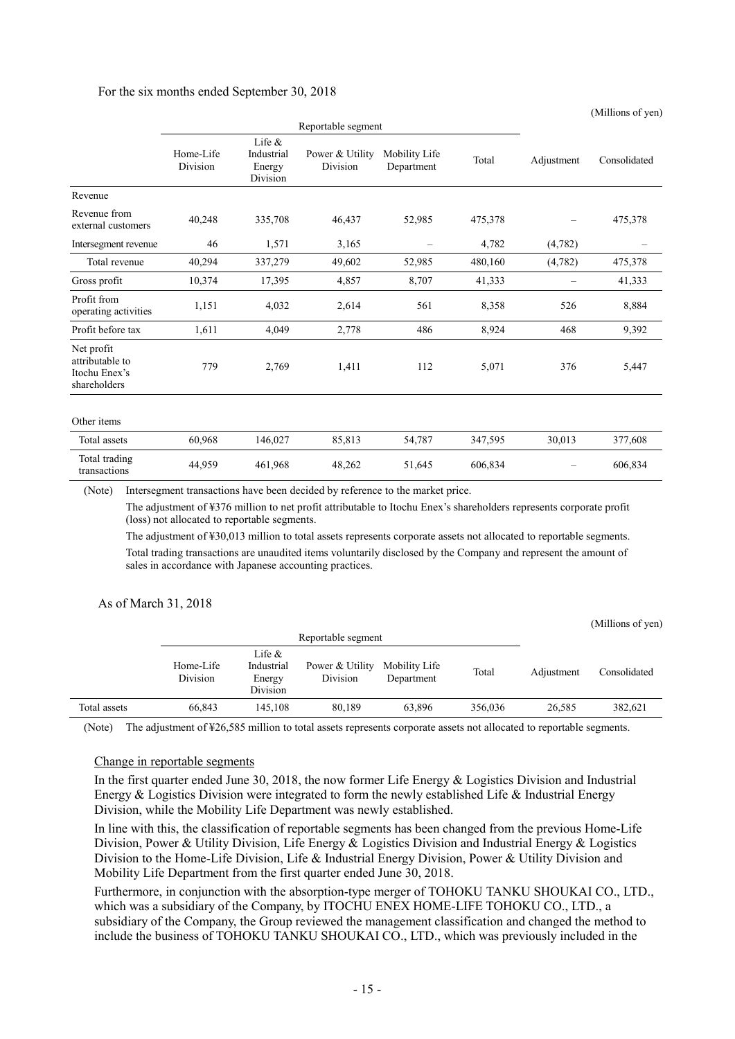#### For the six months ended September 30, 2018

|                                                                | Reportable segment    |                                               |                             |                             |         |                          |              |
|----------------------------------------------------------------|-----------------------|-----------------------------------------------|-----------------------------|-----------------------------|---------|--------------------------|--------------|
|                                                                | Home-Life<br>Division | Life $\&$<br>Industrial<br>Energy<br>Division | Power & Utility<br>Division | Mobility Life<br>Department | Total   | Adjustment               | Consolidated |
| Revenue                                                        |                       |                                               |                             |                             |         |                          |              |
| Revenue from<br>external customers                             | 40,248                | 335,708                                       | 46,437                      | 52,985                      | 475,378 |                          | 475,378      |
| Intersegment revenue                                           | 46                    | 1,571                                         | 3,165                       | $\overline{\phantom{0}}$    | 4,782   | (4,782)                  |              |
| Total revenue                                                  | 40,294                | 337,279                                       | 49,602                      | 52,985                      | 480,160 | (4,782)                  | 475,378      |
| Gross profit                                                   | 10,374                | 17,395                                        | 4,857                       | 8,707                       | 41,333  | $\qquad \qquad -$        | 41,333       |
| Profit from<br>operating activities                            | 1,151                 | 4,032                                         | 2,614                       | 561                         | 8,358   | 526                      | 8,884        |
| Profit before tax                                              | 1,611                 | 4,049                                         | 2,778                       | 486                         | 8,924   | 468                      | 9,392        |
| Net profit<br>attributable to<br>Itochu Enex's<br>shareholders | 779                   | 2,769                                         | 1,411                       | 112                         | 5,071   | 376                      | 5,447        |
| Other items                                                    |                       |                                               |                             |                             |         |                          |              |
| Total assets                                                   | 60,968                | 146,027                                       | 85,813                      | 54,787                      | 347,595 | 30,013                   | 377,608      |
| Total trading<br>transactions                                  | 44,959                | 461,968                                       | 48,262                      | 51,645                      | 606,834 | $\overline{\phantom{0}}$ | 606,834      |

(Millions of yen)

(Note) Intersegment transactions have been decided by reference to the market price.

The adjustment of ¥376 million to net profit attributable to Itochu Enex's shareholders represents corporate profit (loss) not allocated to reportable segments.

The adjustment of ¥30,013 million to total assets represents corporate assets not allocated to reportable segments. Total trading transactions are unaudited items voluntarily disclosed by the Company and represent the amount of sales in accordance with Japanese accounting practices.

#### As of March 31, 2018

|              |                       |                                               |                             |                             |         |            | (Millions of yen) |
|--------------|-----------------------|-----------------------------------------------|-----------------------------|-----------------------------|---------|------------|-------------------|
|              | Reportable segment    |                                               |                             |                             |         |            |                   |
|              | Home-Life<br>Division | Life $\&$<br>Industrial<br>Energy<br>Division | Power & Utility<br>Division | Mobility Life<br>Department | Total   | Adjustment | Consolidated      |
| Total assets | 66,843                | 145.108                                       | 80.189                      | 63,896                      | 356,036 | 26.585     | 382,621           |

(Note) The adjustment of ¥26,585 million to total assets represents corporate assets not allocated to reportable segments.

#### Change in reportable segments

In the first quarter ended June 30, 2018, the now former Life Energy & Logistics Division and Industrial Energy & Logistics Division were integrated to form the newly established Life & Industrial Energy Division, while the Mobility Life Department was newly established.

In line with this, the classification of reportable segments has been changed from the previous Home-Life Division, Power & Utility Division, Life Energy & Logistics Division and Industrial Energy & Logistics Division to the Home-Life Division, Life & Industrial Energy Division, Power & Utility Division and Mobility Life Department from the first quarter ended June 30, 2018.

Furthermore, in conjunction with the absorption-type merger of TOHOKU TANKU SHOUKAI CO., LTD., which was a subsidiary of the Company, by ITOCHU ENEX HOME-LIFE TOHOKU CO., LTD., a subsidiary of the Company, the Group reviewed the management classification and changed the method to include the business of TOHOKU TANKU SHOUKAI CO., LTD., which was previously included in the